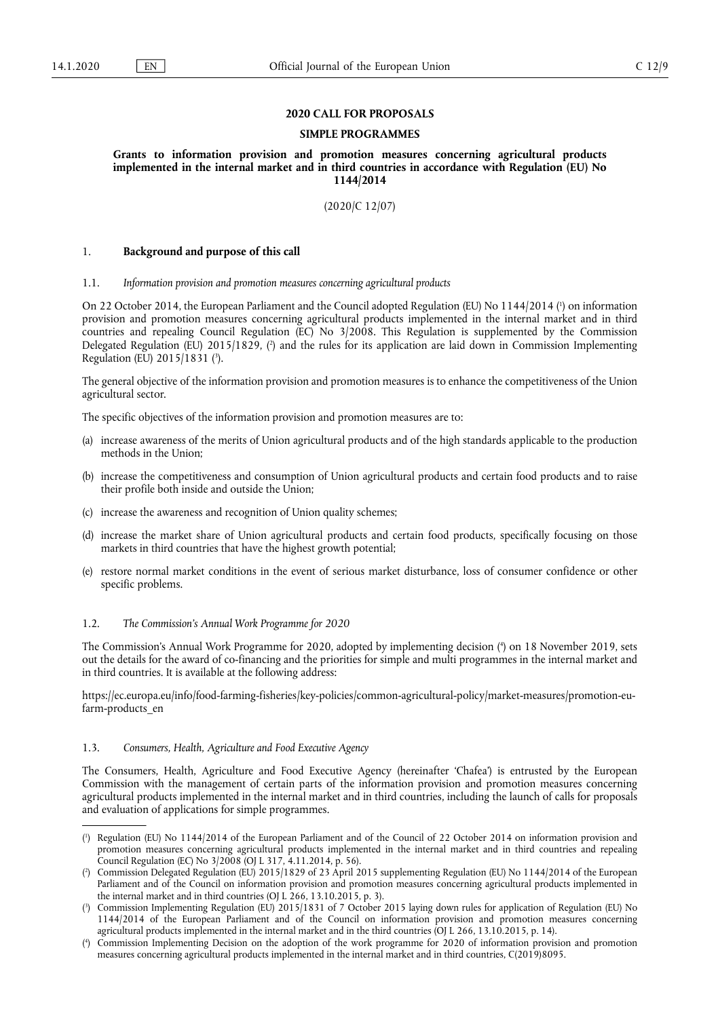## **2020 CALL FOR PROPOSALS**

## **SIMPLE PROGRAMMES**

**Grants to information provision and promotion measures concerning agricultural products implemented in the internal market and in third countries in accordance with Regulation (EU) No 1144/2014** 

(2020/C 12/07)

### 1. **Background and purpose of this call**

## 1.1. *Information provision and promotion measures concerning agricultural products*

On 22 October 2014, the European Parliament and the Council adopted Regulation (EU) No 1144/2014 ( 1 ) on information provision and promotion measures concerning agricultural products implemented in the internal market and in third countries and repealing Council Regulation (EC) No 3/2008. This Regulation is supplemented by the Commission Delegated Regulation (EU) 2015/1829, ( 2 ) and the rules for its application are laid down in Commission Implementing Regulation (EU) 2015/1831 ( 3 ).

The general objective of the information provision and promotion measures is to enhance the competitiveness of the Union agricultural sector.

The specific objectives of the information provision and promotion measures are to:

- (a) increase awareness of the merits of Union agricultural products and of the high standards applicable to the production methods in the Union;
- (b) increase the competitiveness and consumption of Union agricultural products and certain food products and to raise their profile both inside and outside the Union;
- (c) increase the awareness and recognition of Union quality schemes;
- (d) increase the market share of Union agricultural products and certain food products, specifically focusing on those markets in third countries that have the highest growth potential;
- (e) restore normal market conditions in the event of serious market disturbance, loss of consumer confidence or other specific problems.

#### 1.2. *The Commission's Annual Work Programme for 2020*

The Commission's Annual Work Programme for 2020, adopted by implementing decision ( 4 ) on 18 November 2019, sets out the details for the award of co-financing and the priorities for simple and multi programmes in the internal market and in third countries. It is available at the following address:

https://ec.europa.eu/info/food-farming-fisheries/key-policies/common-agricultural-policy/market-measures/promotion-eufarm-products\_en

## 1.3. *Consumers, Health, Agriculture and Food Executive Agency*

The Consumers, Health, Agriculture and Food Executive Agency (hereinafter 'Chafea') is entrusted by the European Commission with the management of certain parts of the information provision and promotion measures concerning agricultural products implemented in the internal market and in third countries, including the launch of calls for proposals and evaluation of applications for simple programmes.

<sup>(</sup> 1 ) Regulation (EU) No 1144/2014 of the European Parliament and of the Council of 22 October 2014 on information provision and promotion measures concerning agricultural products implemented in the internal market and in third countries and repealing Council Regulation (EC) No 3/2008 (OJ L 317, 4.11.2014, p. 56).

<sup>(</sup> 2 ) Commission Delegated Regulation (EU) 2015/1829 of 23 April 2015 supplementing Regulation (EU) No 1144/2014 of the European Parliament and of the Council on information provision and promotion measures concerning agricultural products implemented in the internal market and in third countries (OJ L  $266$ , 13.10.2015, p. 3).

<sup>(</sup> 3 ) Commission Implementing Regulation (EU) 2015/1831 of 7 October 2015 laying down rules for application of Regulation (EU) No 1144/2014 of the European Parliament and of the Council on information provision and promotion measures concerning agricultural products implemented in the internal market and in the third countries (OJ L 266, 13.10.2015, p. 14).

<sup>(</sup> 4 ) Commission Implementing Decision on the adoption of the work programme for 2020 of information provision and promotion measures concerning agricultural products implemented in the internal market and in third countries, C(2019)8095.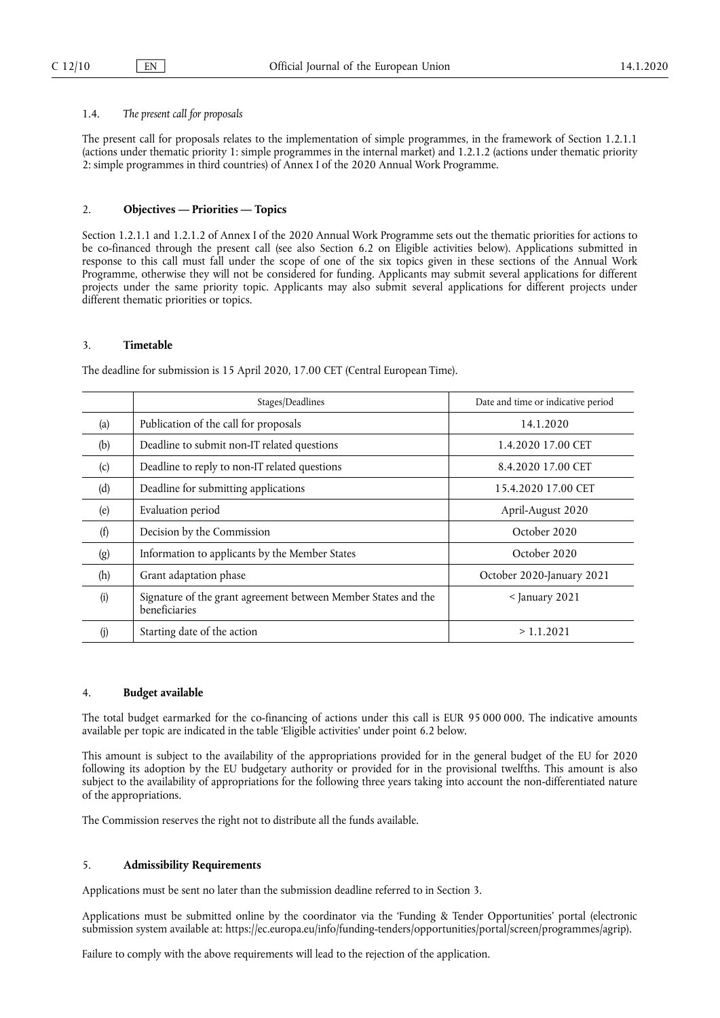## 1.4. *The present call for proposals*

The present call for proposals relates to the implementation of simple programmes, in the framework of Section 1.2.1.1 (actions under thematic priority 1: simple programmes in the internal market) and 1.2.1.2 (actions under thematic priority 2: simple programmes in third countries) of Annex I of the 2020 Annual Work Programme.

## 2. **Objectives — Priorities — Topics**

Section 1.2.1.1 and 1.2.1.2 of Annex I of the 2020 Annual Work Programme sets out the thematic priorities for actions to be co-financed through the present call (see also Section 6.2 on Eligible activities below). Applications submitted in response to this call must fall under the scope of one of the six topics given in these sections of the Annual Work Programme, otherwise they will not be considered for funding. Applicants may submit several applications for different projects under the same priority topic. Applicants may also submit several applications for different projects under different thematic priorities or topics.

## 3. **Timetable**

The deadline for submission is 15 April 2020, 17.00 CET (Central European Time).

|     | Stages/Deadlines                                                                | Date and time or indicative period |  |
|-----|---------------------------------------------------------------------------------|------------------------------------|--|
| (a) | Publication of the call for proposals                                           | 14.1.2020                          |  |
| (b) | Deadline to submit non-IT related questions                                     | 1.4.2020 17.00 CET                 |  |
| (c) | Deadline to reply to non-IT related questions                                   | 8.4.2020 17.00 CET                 |  |
| (d) | Deadline for submitting applications                                            | 15.4.2020 17.00 CET                |  |
| (e) | Evaluation period                                                               | April-August 2020                  |  |
| (f) | Decision by the Commission                                                      | October 2020                       |  |
| (g) | Information to applicants by the Member States                                  | October 2020                       |  |
| (h) | Grant adaptation phase                                                          | October 2020-January 2021          |  |
| (i) | Signature of the grant agreement between Member States and the<br>beneficiaries | $<$ January 2021                   |  |
|     | Starting date of the action                                                     | > 1.1.2021                         |  |

## 4. **Budget available**

The total budget earmarked for the co-financing of actions under this call is EUR 95 000 000. The indicative amounts available per topic are indicated in the table 'Eligible activities' under point 6.2 below.

This amount is subject to the availability of the appropriations provided for in the general budget of the EU for 2020 following its adoption by the EU budgetary authority or provided for in the provisional twelfths. This amount is also subject to the availability of appropriations for the following three years taking into account the non-differentiated nature of the appropriations.

The Commission reserves the right not to distribute all the funds available.

## 5. **Admissibility Requirements**

Applications must be sent no later than the submission deadline referred to in Section 3.

Applications must be submitted online by the coordinator via the 'Funding & Tender Opportunities' portal (electronic submission system available at: https://ec.europa.eu/info/funding-tenders/opportunities/portal/screen/programmes/agrip).

Failure to comply with the above requirements will lead to the rejection of the application.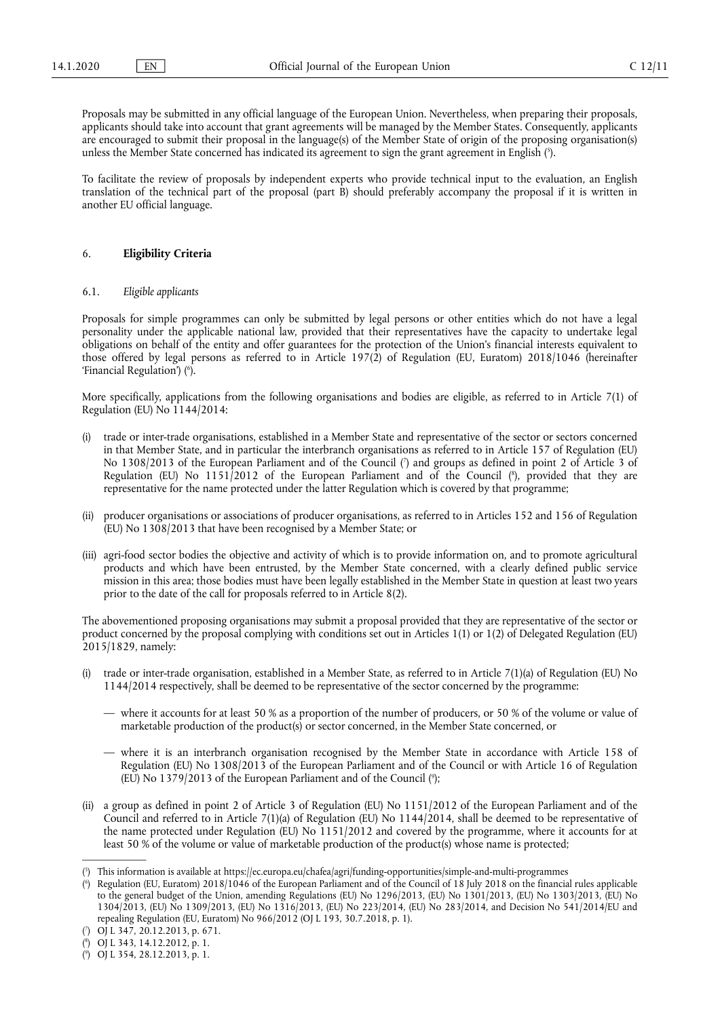Proposals may be submitted in any official language of the European Union. Nevertheless, when preparing their proposals, applicants should take into account that grant agreements will be managed by the Member States. Consequently, applicants are encouraged to submit their proposal in the language(s) of the Member State of origin of the proposing organisation(s) unless the Member State concerned has indicated its agreement to sign the grant agreement in English ( 5 ).

To facilitate the review of proposals by independent experts who provide technical input to the evaluation, an English translation of the technical part of the proposal (part B) should preferably accompany the proposal if it is written in another EU official language.

#### 6. **Eligibility Criteria**

## 6.1. *Eligible applicants*

Proposals for simple programmes can only be submitted by legal persons or other entities which do not have a legal personality under the applicable national law, provided that their representatives have the capacity to undertake legal obligations on behalf of the entity and offer guarantees for the protection of the Union's financial interests equivalent to those offered by legal persons as referred to in Article 197(2) of Regulation (EU, Euratom) 2018/1046 (hereinafter 'Financial Regulation') ( 6 ).

More specifically, applications from the following organisations and bodies are eligible, as referred to in Article 7(1) of Regulation (EU) No 1144/2014:

- (i) trade or inter-trade organisations, established in a Member State and representative of the sector or sectors concerned in that Member State, and in particular the interbranch organisations as referred to in Article 157 of Regulation (EU) No 1308/2013 of the European Parliament and of the Council ( 7 ) and groups as defined in point 2 of Article 3 of Regulation (EU) No 1151/2012 of the European Parliament and of the Council (8), provided that they are representative for the name protected under the latter Regulation which is covered by that programme;
- (ii) producer organisations or associations of producer organisations, as referred to in Articles 152 and 156 of Regulation (EU) No 1308/2013 that have been recognised by a Member State; or
- (iii) agri-food sector bodies the objective and activity of which is to provide information on, and to promote agricultural products and which have been entrusted, by the Member State concerned, with a clearly defined public service mission in this area; those bodies must have been legally established in the Member State in question at least two years prior to the date of the call for proposals referred to in Article 8(2).

The abovementioned proposing organisations may submit a proposal provided that they are representative of the sector or product concerned by the proposal complying with conditions set out in Articles 1(1) or 1(2) of Delegated Regulation (EU) 2015/1829, namely:

- (i) trade or inter-trade organisation, established in a Member State, as referred to in Article 7(1)(a) of Regulation (EU) No 1144/2014 respectively, shall be deemed to be representative of the sector concerned by the programme:
	- where it accounts for at least 50 % as a proportion of the number of producers, or 50 % of the volume or value of marketable production of the product(s) or sector concerned, in the Member State concerned, or
	- where it is an interbranch organisation recognised by the Member State in accordance with Article 158 of Regulation (EU) No 1308/2013 of the European Parliament and of the Council or with Article 16 of Regulation (EU) No 1379/2013 of the European Parliament and of the Council ( 9 );
- (ii) a group as defined in point 2 of Article 3 of Regulation (EU) No 1151/2012 of the European Parliament and of the Council and referred to in Article 7(1)(a) of Regulation (EU) No 1144/2014, shall be deemed to be representative of the name protected under Regulation (EU) No 1151/2012 and covered by the programme, where it accounts for at least 50 % of the volume or value of marketable production of the product(s) whose name is protected;

<sup>(</sup> 5 ) This information is available at https://ec.europa.eu/chafea/agri/funding-opportunities/simple-and-multi-programmes

<sup>(</sup> 6 ) Regulation (EU, Euratom) 2018/1046 of the European Parliament and of the Council of 18 July 2018 on the financial rules applicable to the general budget of the Union, amending Regulations (EU) No 1296/2013, (EU) No 1301/2013, (EU) No 1303/2013, (EU) No 1304/2013, (EU) No 1309/2013, (EU) No 1316/2013, (EU) No 223/2014, (EU) No 283/2014, and Decision No 541/2014/EU and repealing Regulation (EU, Euratom) No 966/2012 (OJ L 193, 30.7.2018, p. 1).

<sup>(</sup> 7 ) OJ L 347, 20.12.2013, p. 671.

<sup>(</sup> 8 ) OJ L 343, 14.12.2012, p. 1.

<sup>(</sup> 9 ) OJ L 354, 28.12.2013, p. 1.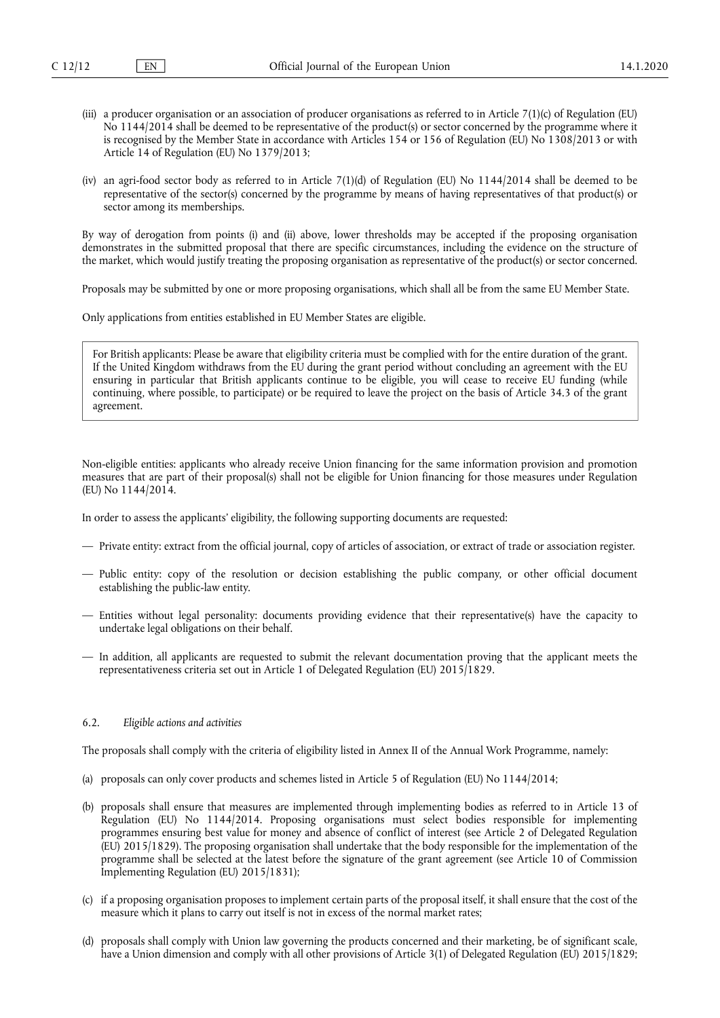- (iii) a producer organisation or an association of producer organisations as referred to in Article 7(1)(c) of Regulation (EU) No 1144/2014 shall be deemed to be representative of the product(s) or sector concerned by the programme where it is recognised by the Member State in accordance with Articles 154 or 156 of Regulation (EU) No 1308/2013 or with Article 14 of Regulation (EU) No 1379/2013;
- (iv) an agri-food sector body as referred to in Article 7(1)(d) of Regulation (EU) No 1144/2014 shall be deemed to be representative of the sector(s) concerned by the programme by means of having representatives of that product(s) or sector among its memberships.

By way of derogation from points (i) and (ii) above, lower thresholds may be accepted if the proposing organisation demonstrates in the submitted proposal that there are specific circumstances, including the evidence on the structure of the market, which would justify treating the proposing organisation as representative of the product(s) or sector concerned.

Proposals may be submitted by one or more proposing organisations, which shall all be from the same EU Member State.

Only applications from entities established in EU Member States are eligible.

For British applicants: Please be aware that eligibility criteria must be complied with for the entire duration of the grant. If the United Kingdom withdraws from the EU during the grant period without concluding an agreement with the EU ensuring in particular that British applicants continue to be eligible, you will cease to receive EU funding (while continuing, where possible, to participate) or be required to leave the project on the basis of Article 34.3 of the grant agreement.

Non-eligible entities: applicants who already receive Union financing for the same information provision and promotion measures that are part of their proposal(s) shall not be eligible for Union financing for those measures under Regulation (EU) No 1144/2014.

In order to assess the applicants' eligibility, the following supporting documents are requested:

- Private entity: extract from the official journal, copy of articles of association, or extract of trade or association register.
- Public entity: copy of the resolution or decision establishing the public company, or other official document establishing the public-law entity.
- Entities without legal personality: documents providing evidence that their representative(s) have the capacity to undertake legal obligations on their behalf.
- In addition, all applicants are requested to submit the relevant documentation proving that the applicant meets the representativeness criteria set out in Article 1 of Delegated Regulation (EU) 2015/1829.

## 6.2. *Eligible actions and activities*

The proposals shall comply with the criteria of eligibility listed in Annex II of the Annual Work Programme, namely:

- (a) proposals can only cover products and schemes listed in Article 5 of Regulation (EU) No 1144/2014;
- (b) proposals shall ensure that measures are implemented through implementing bodies as referred to in Article 13 of Regulation (EU) No 1144/2014. Proposing organisations must select bodies responsible for implementing programmes ensuring best value for money and absence of conflict of interest (see Article 2 of Delegated Regulation (EU) 2015/1829). The proposing organisation shall undertake that the body responsible for the implementation of the programme shall be selected at the latest before the signature of the grant agreement (see Article 10 of Commission Implementing Regulation (EU) 2015/1831);
- (c) if a proposing organisation proposes to implement certain parts of the proposal itself, it shall ensure that the cost of the measure which it plans to carry out itself is not in excess of the normal market rates;
- (d) proposals shall comply with Union law governing the products concerned and their marketing, be of significant scale, have a Union dimension and comply with all other provisions of Article 3(1) of Delegated Regulation (EU) 2015/1829;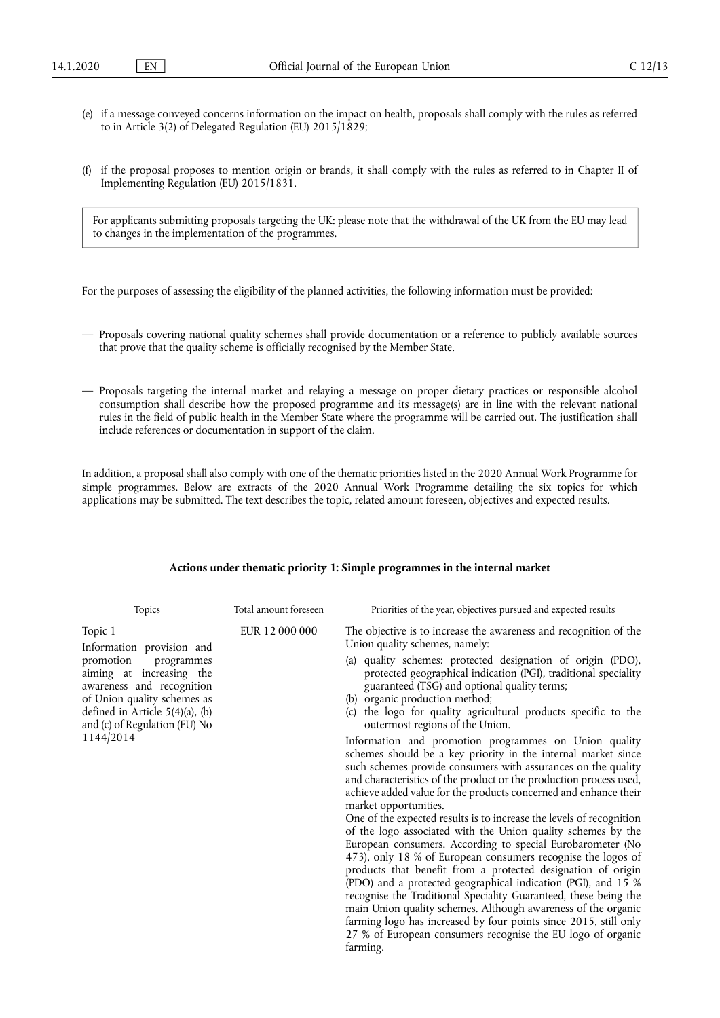- (e) if a message conveyed concerns information on the impact on health, proposals shall comply with the rules as referred to in Article 3(2) of Delegated Regulation (EU) 2015/1829;
- (f) if the proposal proposes to mention origin or brands, it shall comply with the rules as referred to in Chapter II of Implementing Regulation (EU) 2015/1831.

For applicants submitting proposals targeting the UK: please note that the withdrawal of the UK from the EU may lead to changes in the implementation of the programmes.

For the purposes of assessing the eligibility of the planned activities, the following information must be provided:

- Proposals covering national quality schemes shall provide documentation or a reference to publicly available sources that prove that the quality scheme is officially recognised by the Member State.
- Proposals targeting the internal market and relaying a message on proper dietary practices or responsible alcohol consumption shall describe how the proposed programme and its message(s) are in line with the relevant national rules in the field of public health in the Member State where the programme will be carried out. The justification shall include references or documentation in support of the claim.

In addition, a proposal shall also comply with one of the thematic priorities listed in the 2020 Annual Work Programme for simple programmes. Below are extracts of the 2020 Annual Work Programme detailing the six topics for which applications may be submitted. The text describes the topic, related amount foreseen, objectives and expected results.

| Topics<br>Total amount foreseen                                                                                                                                                                                                                                                    | Priorities of the year, objectives pursued and expected results                                                                                                                                                                                                                                                                                                                                                                                                                                                                                                                                                                                                                                                                                                                                                                                                                                                                                                                                                                                                                                                                                                                                                                                                                                                                                                                                                                                                           |
|------------------------------------------------------------------------------------------------------------------------------------------------------------------------------------------------------------------------------------------------------------------------------------|---------------------------------------------------------------------------------------------------------------------------------------------------------------------------------------------------------------------------------------------------------------------------------------------------------------------------------------------------------------------------------------------------------------------------------------------------------------------------------------------------------------------------------------------------------------------------------------------------------------------------------------------------------------------------------------------------------------------------------------------------------------------------------------------------------------------------------------------------------------------------------------------------------------------------------------------------------------------------------------------------------------------------------------------------------------------------------------------------------------------------------------------------------------------------------------------------------------------------------------------------------------------------------------------------------------------------------------------------------------------------------------------------------------------------------------------------------------------------|
| Topic 1<br>EUR 12 000 000<br>Information provision and<br>promotion<br>programmes<br>(a)<br>aiming at increasing the<br>awareness and recognition<br>of Union quality schemes as<br>(b)<br>defined in Article $5(4)(a)$ , (b)<br>(c)<br>and (c) of Regulation (EU) No<br>1144/2014 | The objective is to increase the awareness and recognition of the<br>Union quality schemes, namely:<br>quality schemes: protected designation of origin (PDO),<br>protected geographical indication (PGI), traditional speciality<br>guaranteed (TSG) and optional quality terms;<br>organic production method;<br>the logo for quality agricultural products specific to the<br>outermost regions of the Union.<br>Information and promotion programmes on Union quality<br>schemes should be a key priority in the internal market since<br>such schemes provide consumers with assurances on the quality<br>and characteristics of the product or the production process used,<br>achieve added value for the products concerned and enhance their<br>market opportunities.<br>One of the expected results is to increase the levels of recognition<br>of the logo associated with the Union quality schemes by the<br>European consumers. According to special Eurobarometer (No<br>473), only 18 % of European consumers recognise the logos of<br>products that benefit from a protected designation of origin<br>(PDO) and a protected geographical indication (PGI), and 15 %<br>recognise the Traditional Speciality Guaranteed, these being the<br>main Union quality schemes. Although awareness of the organic<br>farming logo has increased by four points since 2015, still only<br>27 % of European consumers recognise the EU logo of organic<br>farming. |

## **Actions under thematic priority 1: Simple programmes in the internal market**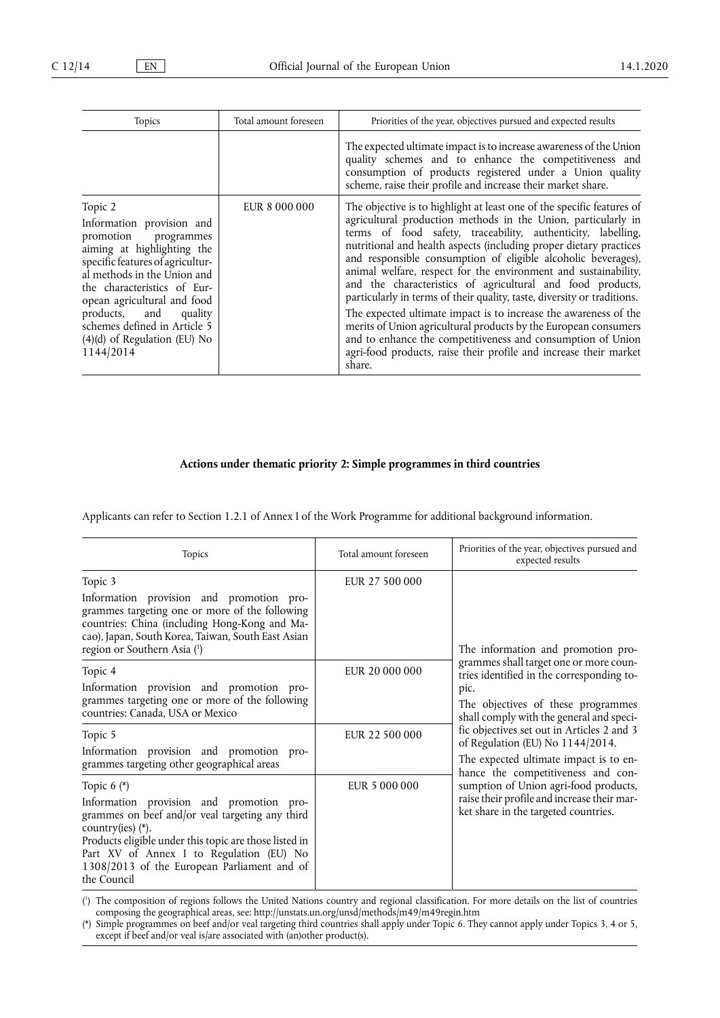| Topics                                                                                                                                                                                                                                                                                                                              | Total amount foreseen | Priorities of the year, objectives pursued and expected results                                                                                                                                                                                                                                                                                                                                                                                                                                                                                                                                                                                                                                                                                                                                                                                 |  |
|-------------------------------------------------------------------------------------------------------------------------------------------------------------------------------------------------------------------------------------------------------------------------------------------------------------------------------------|-----------------------|-------------------------------------------------------------------------------------------------------------------------------------------------------------------------------------------------------------------------------------------------------------------------------------------------------------------------------------------------------------------------------------------------------------------------------------------------------------------------------------------------------------------------------------------------------------------------------------------------------------------------------------------------------------------------------------------------------------------------------------------------------------------------------------------------------------------------------------------------|--|
|                                                                                                                                                                                                                                                                                                                                     |                       | The expected ultimate impact is to increase awareness of the Union<br>quality schemes and to enhance the competitiveness and<br>consumption of products registered under a Union quality<br>scheme, raise their profile and increase their market share.                                                                                                                                                                                                                                                                                                                                                                                                                                                                                                                                                                                        |  |
| Topic 2<br>Information provision and<br>promotion programmes<br>aiming at highlighting the<br>specific features of agricultur-<br>al methods in the Union and<br>the characteristics of Eur-<br>opean agricultural and food<br>products, and quality<br>schemes defined in Article 5<br>$(4)(d)$ of Regulation (EU) No<br>1144/2014 | EUR 8 000 000         | The objective is to highlight at least one of the specific features of<br>agricultural production methods in the Union, particularly in<br>terms of food safety, traceability, authenticity, labelling,<br>nutritional and health aspects (including proper dietary practices<br>and responsible consumption of eligible alcoholic beverages),<br>animal welfare, respect for the environment and sustainability,<br>and the characteristics of agricultural and food products,<br>particularly in terms of their quality, taste, diversity or traditions.<br>The expected ultimate impact is to increase the awareness of the<br>merits of Union agricultural products by the European consumers<br>and to enhance the competitiveness and consumption of Union<br>agri-food products, raise their profile and increase their market<br>share. |  |

# **Actions under thematic priority 2: Simple programmes in third countries**

Applicants can refer to Section 1.2.1 of Annex I of the Work Programme for additional background information.

| Topics                                                                                                                                                                                                                                                                                                | Total amount foreseen | Priorities of the year, objectives pursued and<br>expected results                                                                                                                                                  |  |
|-------------------------------------------------------------------------------------------------------------------------------------------------------------------------------------------------------------------------------------------------------------------------------------------------------|-----------------------|---------------------------------------------------------------------------------------------------------------------------------------------------------------------------------------------------------------------|--|
| Topic 3<br>Information provision and promotion pro-<br>grammes targeting one or more of the following<br>countries: China (including Hong-Kong and Ma-<br>cao), Japan, South Korea, Taiwan, South East Asian<br>region or Southern Asia (1)                                                           | EUR 27 500 000        | The information and promotion pro-<br>grammes shall target one or more coun-<br>tries identified in the corresponding to-<br>pic.<br>The objectives of these programmes<br>shall comply with the general and speci- |  |
| Topic 4<br>Information provision and promotion pro-<br>grammes targeting one or more of the following<br>countries: Canada, USA or Mexico                                                                                                                                                             | EUR 20 000 000        |                                                                                                                                                                                                                     |  |
| Topic 5<br>Information provision and promotion pro-<br>grammes targeting other geographical areas                                                                                                                                                                                                     | EUR 22 500 000        | fic objectives set out in Articles 2 and 3<br>of Regulation (EU) No 1144/2014.<br>The expected ultimate impact is to en-<br>hance the competitiveness and con-                                                      |  |
| Topic $6$ (*)<br>Information provision and promotion pro-<br>grammes on beef and/or veal targeting any third<br>country(ies) (*).<br>Products eligible under this topic are those listed in<br>Part XV of Annex I to Regulation (EU) No<br>1308/2013 of the European Parliament and of<br>the Council | EUR 5 000 000         | sumption of Union agri-food products,<br>raise their profile and increase their mar-<br>ket share in the targeted countries.                                                                                        |  |

( 1 ) The composition of regions follows the United Nations country and regional classification. For more details on the list of countries composing the geographical areas, see: http://unstats.un.org/unsd/methods/m49/m49regin.htm

(\*) Simple programmes on beef and/or veal targeting third countries shall apply under Topic 6. They cannot apply under Topics 3, 4 or 5, except if beef and/or veal is/are associated with (an)other product(s).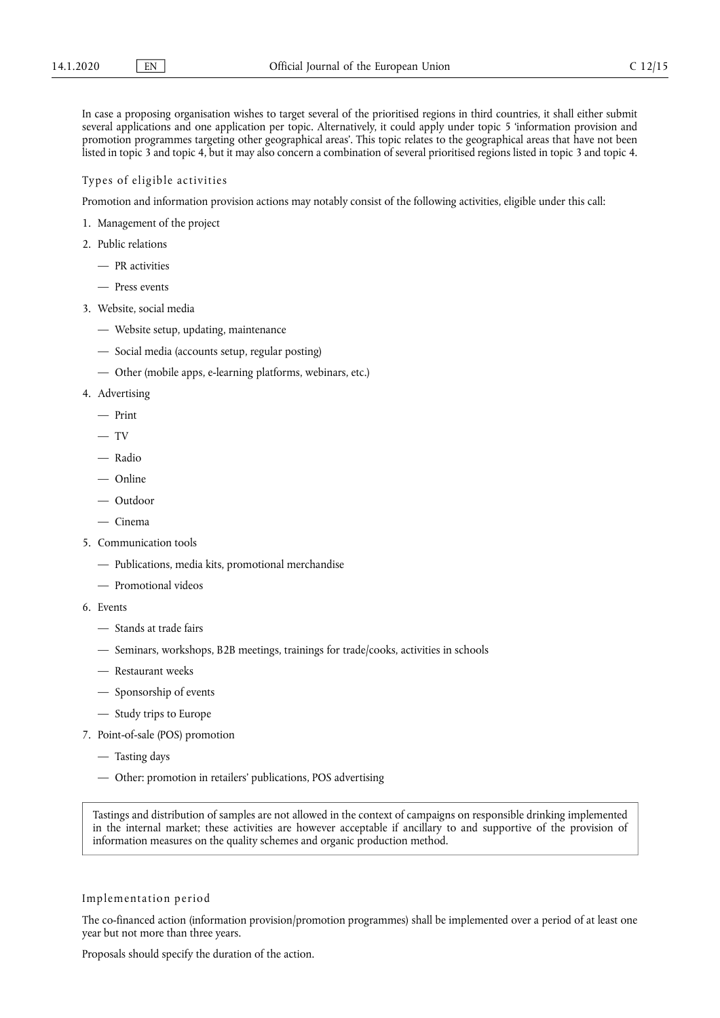In case a proposing organisation wishes to target several of the prioritised regions in third countries, it shall either submit several applications and one application per topic. Alternatively, it could apply under topic 5 'information provision and promotion programmes targeting other geographical areas'. This topic relates to the geographical areas that have not been listed in topic 3 and topic 4, but it may also concern a combination of several prioritised regions listed in topic 3 and topic 4.

## Types of eligible activities

Promotion and information provision actions may notably consist of the following activities, eligible under this call:

- 1. Management of the project
- 2. Public relations
	- PR activities
	- Press events
- 3. Website, social media
	- Website setup, updating, maintenance
	- Social media (accounts setup, regular posting)
	- Other (mobile apps, e-learning platforms, webinars, etc.)
- 4. Advertising
	- Print
	- $-$  TV
	- Radio
	- Online
	- Outdoor
	- Cinema
- 5. Communication tools
	- Publications, media kits, promotional merchandise
	- Promotional videos
- 6. Events
	- Stands at trade fairs
	- Seminars, workshops, B2B meetings, trainings for trade/cooks, activities in schools
	- Restaurant weeks
	- Sponsorship of events
	- Study trips to Europe
- 7. Point-of-sale (POS) promotion
	- Tasting days
	- Other: promotion in retailers' publications, POS advertising

Tastings and distribution of samples are not allowed in the context of campaigns on responsible drinking implemented in the internal market; these activities are however acceptable if ancillary to and supportive of the provision of information measures on the quality schemes and organic production method.

#### Implementation period

The co-financed action (information provision/promotion programmes) shall be implemented over a period of at least one year but not more than three years.

Proposals should specify the duration of the action.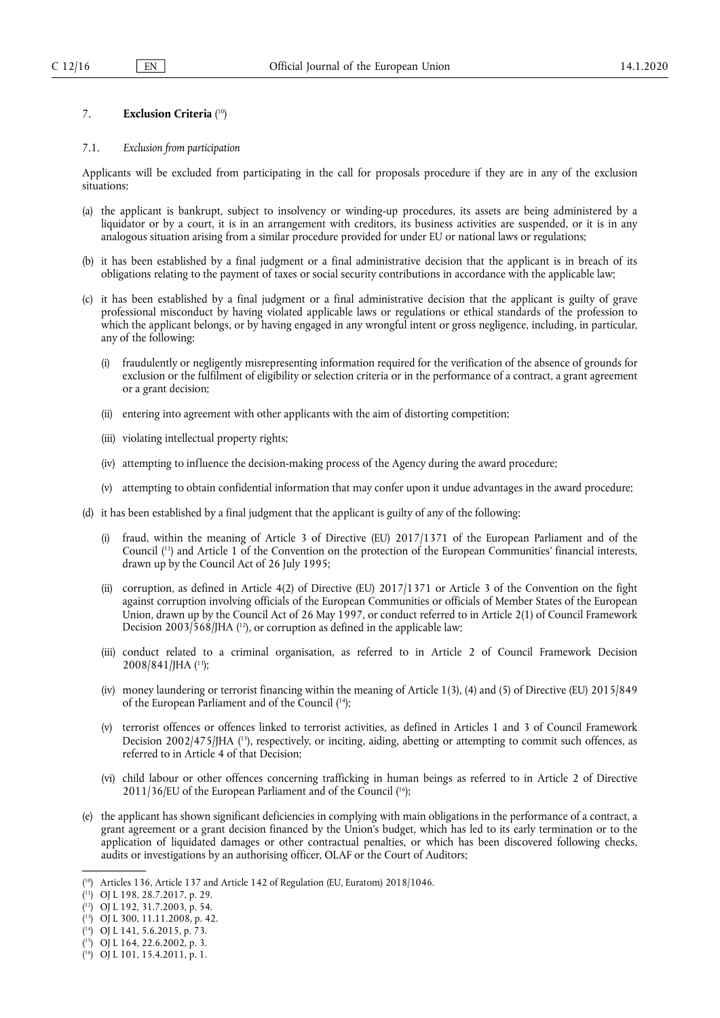## 7. **Exclusion Criteria** ( 10)

#### 7.1. *Exclusion from participation*

Applicants will be excluded from participating in the call for proposals procedure if they are in any of the exclusion situations:

- (a) the applicant is bankrupt, subject to insolvency or winding-up procedures, its assets are being administered by a liquidator or by a court, it is in an arrangement with creditors, its business activities are suspended, or it is in any analogous situation arising from a similar procedure provided for under EU or national laws or regulations;
- (b) it has been established by a final judgment or a final administrative decision that the applicant is in breach of its obligations relating to the payment of taxes or social security contributions in accordance with the applicable law;
- (c) it has been established by a final judgment or a final administrative decision that the applicant is guilty of grave professional misconduct by having violated applicable laws or regulations or ethical standards of the profession to which the applicant belongs, or by having engaged in any wrongful intent or gross negligence, including, in particular, any of the following:
	- (i) fraudulently or negligently misrepresenting information required for the verification of the absence of grounds for exclusion or the fulfilment of eligibility or selection criteria or in the performance of a contract, a grant agreement or a grant decision;
	- (ii) entering into agreement with other applicants with the aim of distorting competition;
	- (iii) violating intellectual property rights;
	- (iv) attempting to influence the decision-making process of the Agency during the award procedure;
	- (v) attempting to obtain confidential information that may confer upon it undue advantages in the award procedure;
- (d) it has been established by a final judgment that the applicant is guilty of any of the following:
	- (i) fraud, within the meaning of Article 3 of Directive (EU) 2017/1371 of the European Parliament and of the Council ( 11) and Article 1 of the Convention on the protection of the European Communities' financial interests, drawn up by the Council Act of 26 July 1995;
	- (ii) corruption, as defined in Article 4(2) of Directive (EU) 2017/1371 or Article 3 of the Convention on the fight against corruption involving officials of the European Communities or officials of Member States of the European Union, drawn up by the Council Act of 26 May 1997, or conduct referred to in Article 2(1) of Council Framework Decision 2003/568/JHA (<sup>12</sup>), or corruption as defined in the applicable law;
	- (iii) conduct related to a criminal organisation, as referred to in Article 2 of Council Framework Decision 2008/841/JHA ( 13);
	- (iv) money laundering or terrorist financing within the meaning of Article 1(3), (4) and (5) of Directive (EU) 2015/849 of the European Parliament and of the Council ( 14);
	- (v) terrorist offences or offences linked to terrorist activities, as defined in Articles 1 and 3 of Council Framework Decision 2002/475/JHA (<sup>15</sup>), respectively, or inciting, aiding, abetting or attempting to commit such offences, as referred to in Article 4 of that Decision;
	- (vi) child labour or other offences concerning trafficking in human beings as referred to in Article 2 of Directive  $2011/36$ /EU of the European Parliament and of the Council (<sup>16</sup>);
- (e) the applicant has shown significant deficiencies in complying with main obligations in the performance of a contract, a grant agreement or a grant decision financed by the Union's budget, which has led to its early termination or to the application of liquidated damages or other contractual penalties, or which has been discovered following checks, audits or investigations by an authorising officer, OLAF or the Court of Auditors;

<sup>(</sup> 10) Articles 136, Article 137 and Article 142 of Regulation (EU, Euratom) 2018/1046.

<sup>(</sup> 11) OJ L 198, 28.7.2017, p. 29.

<sup>(</sup> 12) OJ L 192, 31.7.2003, p. 54.

<sup>(</sup> 13) OJ L 300, 11.11.2008, p. 42.

<sup>(</sup> 14) OJ L 141, 5.6.2015, p. 73.

<sup>(</sup> 15) OJ L 164, 22.6.2002, p. 3.

<sup>(</sup> 16) OJ L 101, 15.4.2011, p. 1.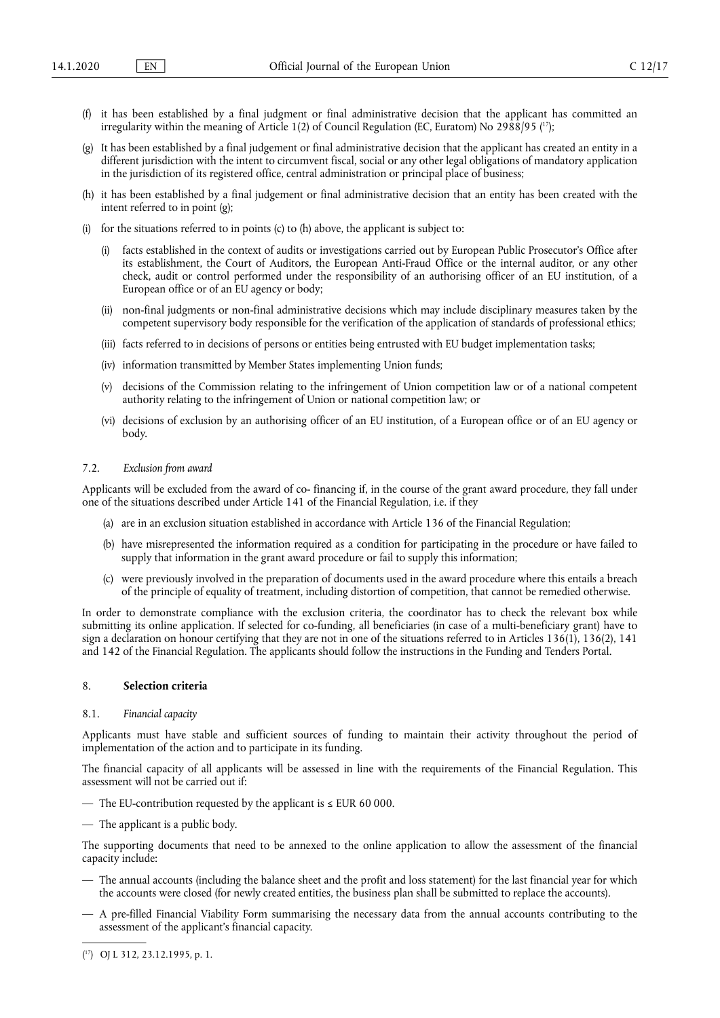- (f) it has been established by a final judgment or final administrative decision that the applicant has committed an irregularity within the meaning of Article 1(2) of Council Regulation (EC, Euratom) No 2988/95 ( 17);
- (g) It has been established by a final judgement or final administrative decision that the applicant has created an entity in a different jurisdiction with the intent to circumvent fiscal, social or any other legal obligations of mandatory application in the jurisdiction of its registered office, central administration or principal place of business;
- (h) it has been established by a final judgement or final administrative decision that an entity has been created with the intent referred to in point (g);
- (i) for the situations referred to in points (c) to (h) above, the applicant is subject to:
	- facts established in the context of audits or investigations carried out by European Public Prosecutor's Office after its establishment, the Court of Auditors, the European Anti-Fraud Office or the internal auditor, or any other check, audit or control performed under the responsibility of an authorising officer of an EU institution, of a European office or of an EU agency or body;
	- (ii) non-final judgments or non-final administrative decisions which may include disciplinary measures taken by the competent supervisory body responsible for the verification of the application of standards of professional ethics;
	- (iii) facts referred to in decisions of persons or entities being entrusted with EU budget implementation tasks;
	- (iv) information transmitted by Member States implementing Union funds;
	- (v) decisions of the Commission relating to the infringement of Union competition law or of a national competent authority relating to the infringement of Union or national competition law; or
	- (vi) decisions of exclusion by an authorising officer of an EU institution, of a European office or of an EU agency or body.

## 7.2. *Exclusion from award*

Applicants will be excluded from the award of co- financing if, in the course of the grant award procedure, they fall under one of the situations described under Article 141 of the Financial Regulation, i.e. if they

- (a) are in an exclusion situation established in accordance with Article 136 of the Financial Regulation;
- (b) have misrepresented the information required as a condition for participating in the procedure or have failed to supply that information in the grant award procedure or fail to supply this information;
- (c) were previously involved in the preparation of documents used in the award procedure where this entails a breach of the principle of equality of treatment, including distortion of competition, that cannot be remedied otherwise.

In order to demonstrate compliance with the exclusion criteria, the coordinator has to check the relevant box while submitting its online application. If selected for co-funding, all beneficiaries (in case of a multi-beneficiary grant) have to sign a declaration on honour certifying that they are not in one of the situations referred to in Articles 136(1), 136(2), 141 and 142 of the Financial Regulation. The applicants should follow the instructions in the Funding and Tenders Portal.

## 8. **Selection criteria**

#### 8.1. *Financial capacity*

Applicants must have stable and sufficient sources of funding to maintain their activity throughout the period of implementation of the action and to participate in its funding.

The financial capacity of all applicants will be assessed in line with the requirements of the Financial Regulation. This assessment will not be carried out if:

- The EU-contribution requested by the applicant is  $\leq$  EUR 60 000.
- The applicant is a public body.

The supporting documents that need to be annexed to the online application to allow the assessment of the financial capacity include:

- The annual accounts (including the balance sheet and the profit and loss statement) for the last financial year for which the accounts were closed (for newly created entities, the business plan shall be submitted to replace the accounts).
- A pre-filled Financial Viability Form summarising the necessary data from the annual accounts contributing to the assessment of the applicant's financial capacity.
- ( 17) OJ L 312, 23.12.1995, p. 1.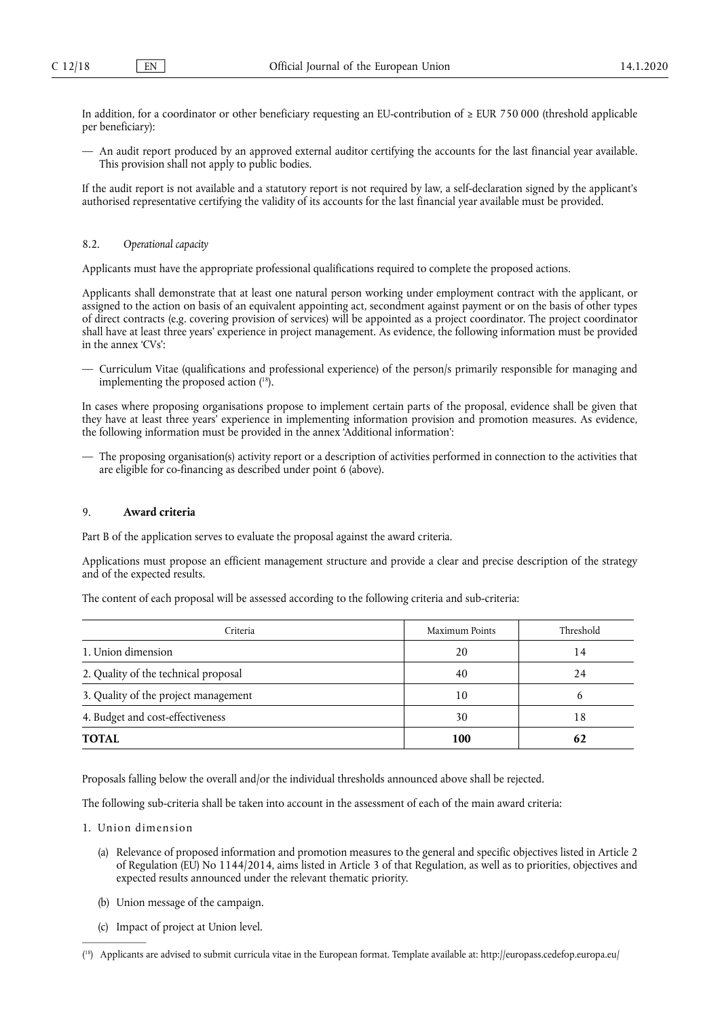In addition, for a coordinator or other beneficiary requesting an EU-contribution of ≥ EUR 750 000 (threshold applicable per beneficiary):

— An audit report produced by an approved external auditor certifying the accounts for the last financial year available. This provision shall not apply to public bodies.

If the audit report is not available and a statutory report is not required by law, a self-declaration signed by the applicant's authorised representative certifying the validity of its accounts for the last financial year available must be provided.

#### 8.2. *Operational capacity*

Applicants must have the appropriate professional qualifications required to complete the proposed actions.

Applicants shall demonstrate that at least one natural person working under employment contract with the applicant, or assigned to the action on basis of an equivalent appointing act, secondment against payment or on the basis of other types of direct contracts (e.g. covering provision of services) will be appointed as a project coordinator. The project coordinator shall have at least three years' experience in project management. As evidence, the following information must be provided in the annex 'CVs':

— Curriculum Vitae (qualifications and professional experience) of the person/s primarily responsible for managing and implementing the proposed action ( 18).

In cases where proposing organisations propose to implement certain parts of the proposal, evidence shall be given that they have at least three years' experience in implementing information provision and promotion measures. As evidence, the following information must be provided in the annex 'Additional information':

— The proposing organisation(s) activity report or a description of activities performed in connection to the activities that are eligible for co-financing as described under point 6 (above).

## 9. **Award criteria**

Part B of the application serves to evaluate the proposal against the award criteria.

Applications must propose an efficient management structure and provide a clear and precise description of the strategy and of the expected results.

The content of each proposal will be assessed according to the following criteria and sub-criteria:

| Criteria                             | Maximum Points | Threshold |
|--------------------------------------|----------------|-----------|
| 1. Union dimension                   | 20             | 14        |
| 2. Quality of the technical proposal | 40             | 24        |
| 3. Quality of the project management | 10             |           |
| 4. Budget and cost-effectiveness     | 30             | 18        |
| <b>TOTAL</b>                         | 100            |           |

Proposals falling below the overall and/or the individual thresholds announced above shall be rejected.

The following sub-criteria shall be taken into account in the assessment of each of the main award criteria:

- 1. Union dimension
	- (a) Relevance of proposed information and promotion measures to the general and specific objectives listed in Article 2 of Regulation (EU) No 1144/2014, aims listed in Article 3 of that Regulation, as well as to priorities, objectives and expected results announced under the relevant thematic priority.
	- (b) Union message of the campaign.
	- (c) Impact of project at Union level.

<sup>(</sup> 18) Applicants are advised to submit curricula vitae in the European format. Template available at: http://europass.cedefop.europa.eu/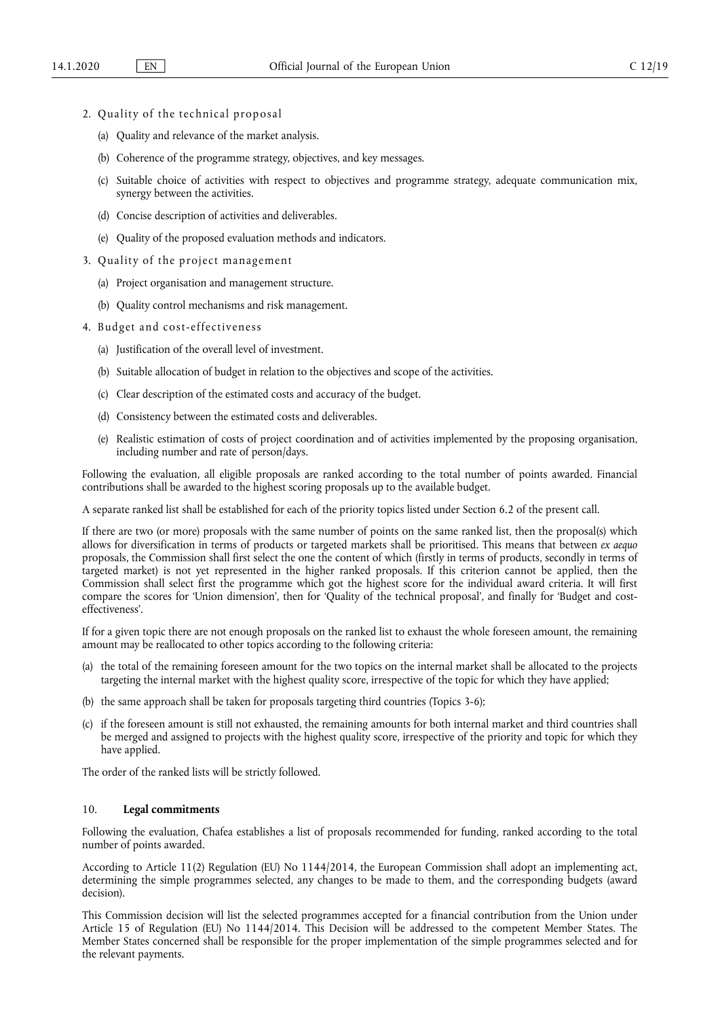- 2. Quality of the technical proposal
	- (a) Quality and relevance of the market analysis.
	- (b) Coherence of the programme strategy, objectives, and key messages.
	- (c) Suitable choice of activities with respect to objectives and programme strategy, adequate communication mix, synergy between the activities.
	- (d) Concise description of activities and deliverables.
	- (e) Quality of the proposed evaluation methods and indicators.
- 3. Quality of the project management
	- (a) Project organisation and management structure.
	- (b) Quality control mechanisms and risk management.
- 4. Budget and cost-effectiveness
	- (a) Justification of the overall level of investment.
	- (b) Suitable allocation of budget in relation to the objectives and scope of the activities.
	- (c) Clear description of the estimated costs and accuracy of the budget.
	- (d) Consistency between the estimated costs and deliverables.
	- (e) Realistic estimation of costs of project coordination and of activities implemented by the proposing organisation, including number and rate of person/days.

Following the evaluation, all eligible proposals are ranked according to the total number of points awarded. Financial contributions shall be awarded to the highest scoring proposals up to the available budget.

A separate ranked list shall be established for each of the priority topics listed under Section 6.2 of the present call.

If there are two (or more) proposals with the same number of points on the same ranked list, then the proposal(s) which allows for diversification in terms of products or targeted markets shall be prioritised. This means that between *ex aequo*  proposals, the Commission shall first select the one the content of which (firstly in terms of products, secondly in terms of targeted market) is not yet represented in the higher ranked proposals. If this criterion cannot be applied, then the Commission shall select first the programme which got the highest score for the individual award criteria. It will first compare the scores for 'Union dimension', then for 'Quality of the technical proposal', and finally for 'Budget and costeffectiveness'.

If for a given topic there are not enough proposals on the ranked list to exhaust the whole foreseen amount, the remaining amount may be reallocated to other topics according to the following criteria:

- (a) the total of the remaining foreseen amount for the two topics on the internal market shall be allocated to the projects targeting the internal market with the highest quality score, irrespective of the topic for which they have applied;
- (b) the same approach shall be taken for proposals targeting third countries (Topics 3-6);
- (c) if the foreseen amount is still not exhausted, the remaining amounts for both internal market and third countries shall be merged and assigned to projects with the highest quality score, irrespective of the priority and topic for which they have applied.

The order of the ranked lists will be strictly followed.

## 10. **Legal commitments**

Following the evaluation, Chafea establishes a list of proposals recommended for funding, ranked according to the total number of points awarded.

According to Article 11(2) Regulation (EU) No 1144/2014, the European Commission shall adopt an implementing act, determining the simple programmes selected, any changes to be made to them, and the corresponding budgets (award decision).

This Commission decision will list the selected programmes accepted for a financial contribution from the Union under Article 15 of Regulation (EU) No 1144/2014. This Decision will be addressed to the competent Member States. The Member States concerned shall be responsible for the proper implementation of the simple programmes selected and for the relevant payments.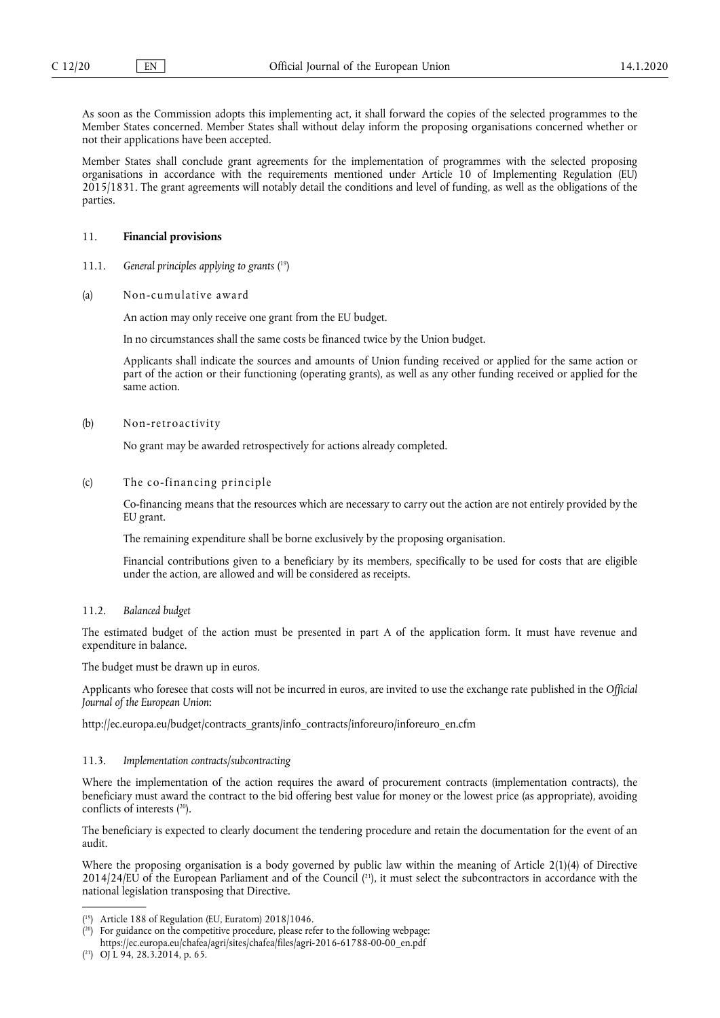As soon as the Commission adopts this implementing act, it shall forward the copies of the selected programmes to the Member States concerned. Member States shall without delay inform the proposing organisations concerned whether or not their applications have been accepted.

Member States shall conclude grant agreements for the implementation of programmes with the selected proposing organisations in accordance with the requirements mentioned under Article 10 of Implementing Regulation (EU) 2015/1831. The grant agreements will notably detail the conditions and level of funding, as well as the obligations of the parties.

## 11. **Financial provisions**

- 11.1. *General principles applying to grants* ( 19)
- (a) Non-cumulative award

An action may only receive one grant from the EU budget.

In no circumstances shall the same costs be financed twice by the Union budget.

Applicants shall indicate the sources and amounts of Union funding received or applied for the same action or part of the action or their functioning (operating grants), as well as any other funding received or applied for the same action.

## (b) Non-retroactivity

No grant may be awarded retrospectively for actions already completed.

## (c) The co-financing principle

Co-financing means that the resources which are necessary to carry out the action are not entirely provided by the EU grant.

The remaining expenditure shall be borne exclusively by the proposing organisation.

Financial contributions given to a beneficiary by its members, specifically to be used for costs that are eligible under the action, are allowed and will be considered as receipts.

#### 11.2. *Balanced budget*

The estimated budget of the action must be presented in part A of the application form. It must have revenue and expenditure in balance.

The budget must be drawn up in euros.

Applicants who foresee that costs will not be incurred in euros, are invited to use the exchange rate published in the *Official Journal of the European Union*:

http://ec.europa.eu/budget/contracts\_grants/info\_contracts/inforeuro/inforeuro\_en.cfm

## 11.3. *Implementation contracts/subcontracting*

Where the implementation of the action requires the award of procurement contracts (implementation contracts), the beneficiary must award the contract to the bid offering best value for money or the lowest price (as appropriate), avoiding conflicts of interests ( 20).

The beneficiary is expected to clearly document the tendering procedure and retain the documentation for the event of an audit.

Where the proposing organisation is a body governed by public law within the meaning of Article 2(1)(4) of Directive  $2014/24$ /EU of the European Parliament and of the Council  $(21)$ , it must select the subcontractors in accordance with the national legislation transposing that Directive.

<sup>(</sup> 19) Article 188 of Regulation (EU, Euratom) 2018/1046.

 $(20)$  For guidance on the competitive procedure, please refer to the following webpage: https://ec.europa.eu/chafea/agri/sites/chafea/files/agri-2016-61788-00-00\_en.pdf

<sup>(</sup> 21) OJ L 94, 28.3.2014, p. 65.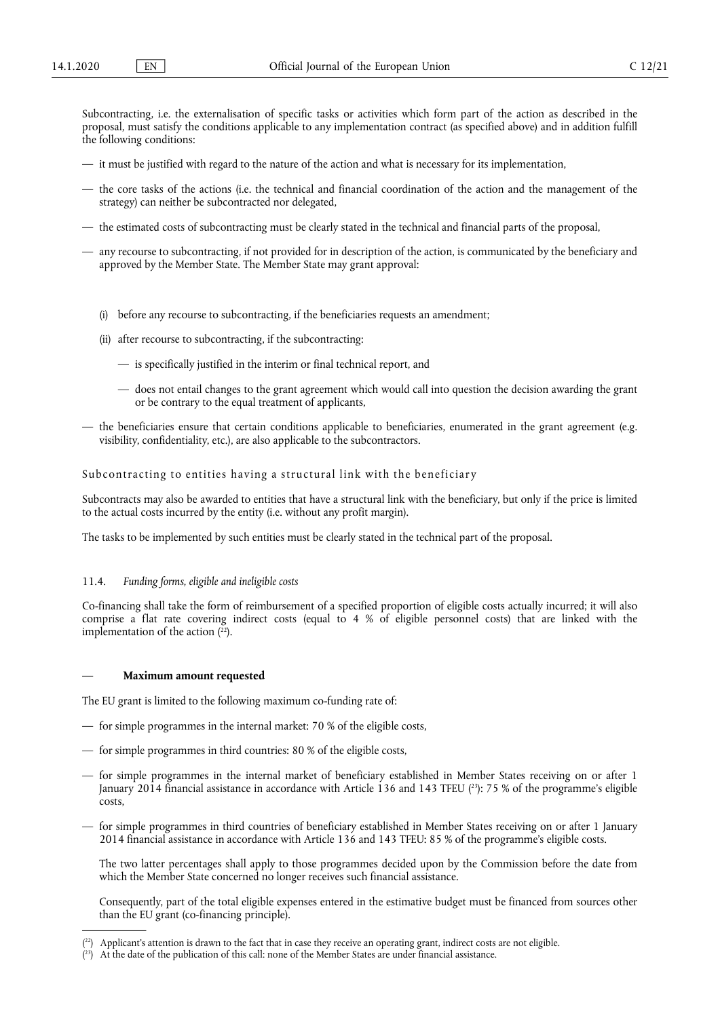Subcontracting, i.e. the externalisation of specific tasks or activities which form part of the action as described in the proposal, must satisfy the conditions applicable to any implementation contract (as specified above) and in addition fulfill the following conditions:

- it must be justified with regard to the nature of the action and what is necessary for its implementation,
- the core tasks of the actions (i.e. the technical and financial coordination of the action and the management of the strategy) can neither be subcontracted nor delegated,
- the estimated costs of subcontracting must be clearly stated in the technical and financial parts of the proposal,
- any recourse to subcontracting, if not provided for in description of the action, is communicated by the beneficiary and approved by the Member State. The Member State may grant approval:
	- (i) before any recourse to subcontracting, if the beneficiaries requests an amendment;
	- (ii) after recourse to subcontracting, if the subcontracting:
		- is specifically justified in the interim or final technical report, and
		- does not entail changes to the grant agreement which would call into question the decision awarding the grant or be contrary to the equal treatment of applicants,
- the beneficiaries ensure that certain conditions applicable to beneficiaries, enumerated in the grant agreement (e.g. visibility, confidentiality, etc.), are also applicable to the subcontractors.

Subcontracting to entities having a structural link with the beneficiary

Subcontracts may also be awarded to entities that have a structural link with the beneficiary, but only if the price is limited to the actual costs incurred by the entity (i.e. without any profit margin).

The tasks to be implemented by such entities must be clearly stated in the technical part of the proposal.

#### 11.4. *Funding forms, eligible and ineligible costs*

Co-financing shall take the form of reimbursement of a specified proportion of eligible costs actually incurred; it will also comprise a flat rate covering indirect costs (equal to 4 % of eligible personnel costs) that are linked with the implementation of the action  $(^{22})$ .

#### — **Maximum amount requested**

The EU grant is limited to the following maximum co-funding rate of:

- for simple programmes in the internal market: 70 % of the eligible costs,
- for simple programmes in third countries: 80 % of the eligible costs,
- for simple programmes in the internal market of beneficiary established in Member States receiving on or after 1 January 2014 financial assistance in accordance with Article 136 and 143 TFEU (23): 75 % of the programme's eligible costs,
- for simple programmes in third countries of beneficiary established in Member States receiving on or after 1 January 2014 financial assistance in accordance with Article 136 and 143 TFEU: 85 % of the programme's eligible costs.

The two latter percentages shall apply to those programmes decided upon by the Commission before the date from which the Member State concerned no longer receives such financial assistance.

Consequently, part of the total eligible expenses entered in the estimative budget must be financed from sources other than the EU grant (co-financing principle).

 $(2^2)$  Applicant's attention is drawn to the fact that in case they receive an operating grant, indirect costs are not eligible.

 $(2^3)$  At the date of the publication of this call: none of the Member States are under financial assistance.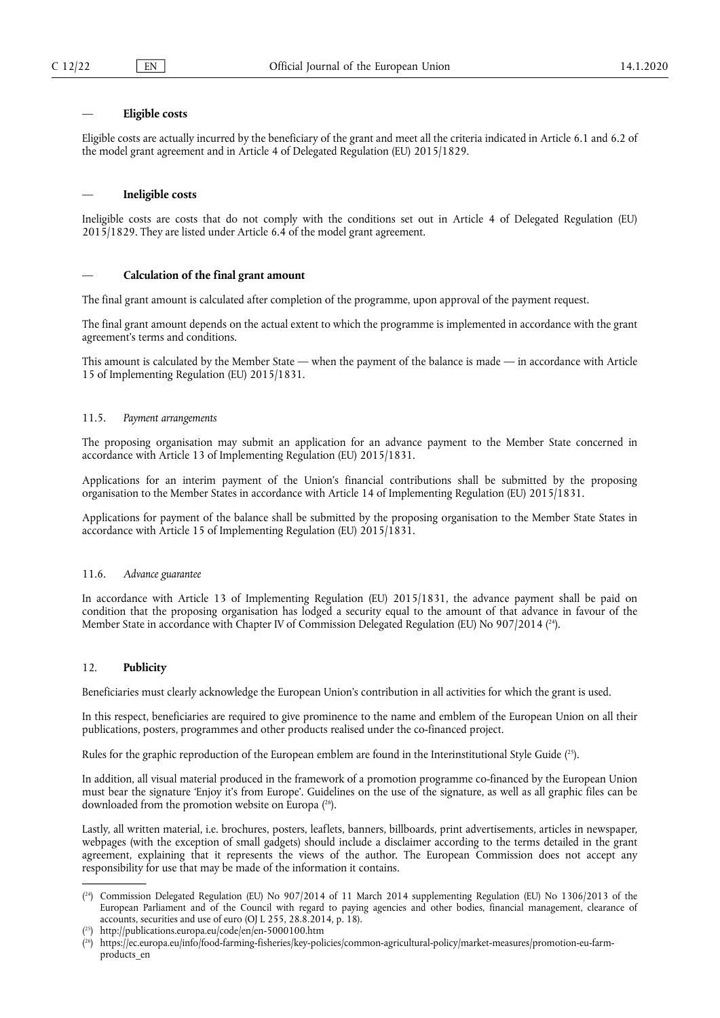#### — **Eligible costs**

Eligible costs are actually incurred by the beneficiary of the grant and meet all the criteria indicated in Article 6.1 and 6.2 of the model grant agreement and in Article 4 of Delegated Regulation (EU) 2015/1829.

### — **Ineligible costs**

Ineligible costs are costs that do not comply with the conditions set out in Article 4 of Delegated Regulation (EU) 2015/1829. They are listed under Article 6.4 of the model grant agreement.

## — **Calculation of the final grant amount**

The final grant amount is calculated after completion of the programme, upon approval of the payment request.

The final grant amount depends on the actual extent to which the programme is implemented in accordance with the grant agreement's terms and conditions.

This amount is calculated by the Member State — when the payment of the balance is made — in accordance with Article 15 of Implementing Regulation (EU) 2015/1831.

## 11.5. *Payment arrangements*

The proposing organisation may submit an application for an advance payment to the Member State concerned in accordance with Article 13 of Implementing Regulation (EU) 2015/1831.

Applications for an interim payment of the Union's financial contributions shall be submitted by the proposing organisation to the Member States in accordance with Article 14 of Implementing Regulation (EU) 2015/1831.

Applications for payment of the balance shall be submitted by the proposing organisation to the Member State States in accordance with Article 15 of Implementing Regulation (EU) 2015/1831.

## 11.6. *Advance guarantee*

In accordance with Article 13 of Implementing Regulation (EU) 2015/1831, the advance payment shall be paid on condition that the proposing organisation has lodged a security equal to the amount of that advance in favour of the Member State in accordance with Chapter IV of Commission Delegated Regulation (EU) No 907/2014 ( 24).

## 12. **Publicity**

Beneficiaries must clearly acknowledge the European Union's contribution in all activities for which the grant is used.

In this respect, beneficiaries are required to give prominence to the name and emblem of the European Union on all their publications, posters, programmes and other products realised under the co-financed project.

Rules for the graphic reproduction of the European emblem are found in the Interinstitutional Style Guide ( 25).

In addition, all visual material produced in the framework of a promotion programme co-financed by the European Union must bear the signature 'Enjoy it's from Europe'. Guidelines on the use of the signature, as well as all graphic files can be downloaded from the promotion website on Europa ( 26).

Lastly, all written material, i.e. brochures, posters, leaflets, banners, billboards, print advertisements, articles in newspaper, webpages (with the exception of small gadgets) should include a disclaimer according to the terms detailed in the grant agreement, explaining that it represents the views of the author. The European Commission does not accept any responsibility for use that may be made of the information it contains.

<sup>(</sup> 24) Commission Delegated Regulation (EU) No 907/2014 of 11 March 2014 supplementing Regulation (EU) No 1306/2013 of the European Parliament and of the Council with regard to paying agencies and other bodies, financial management, clearance of accounts, securities and use of euro (OJ L 255, 28.8.2014, p. 18).

<sup>(</sup> 25) http://publications.europa.eu/code/en/en-5000100.htm

<sup>(</sup> 26) https://ec.europa.eu/info/food-farming-fisheries/key-policies/common-agricultural-policy/market-measures/promotion-eu-farmproducts\_en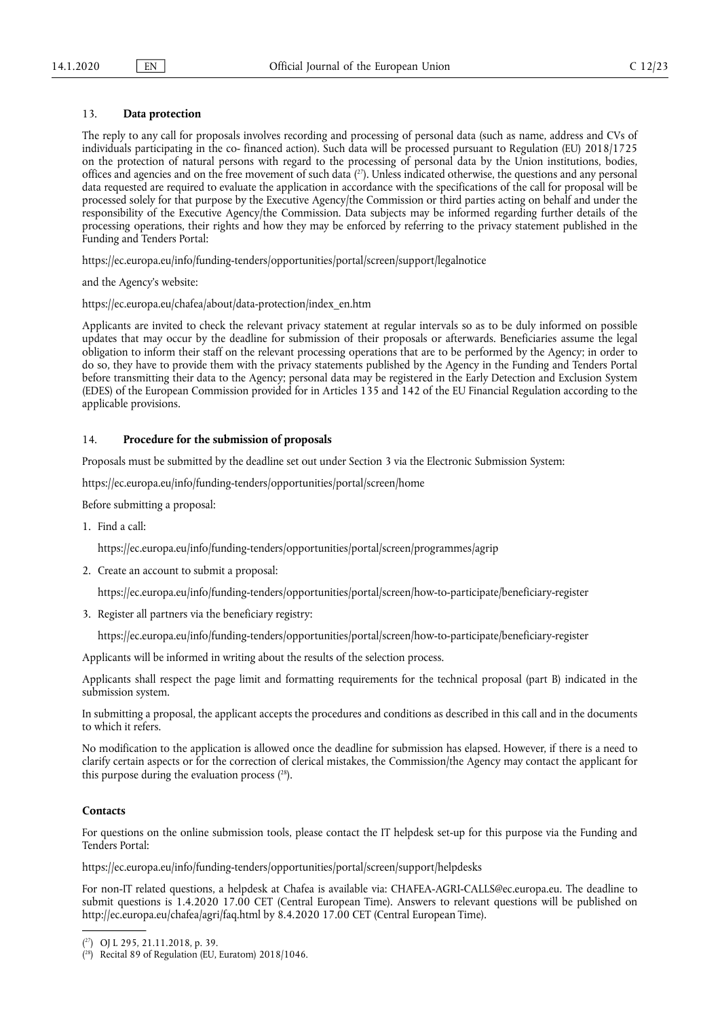## 13. **Data protection**

The reply to any call for proposals involves recording and processing of personal data (such as name, address and CVs of individuals participating in the co- financed action). Such data will be processed pursuant to Regulation (EU) 2018/1725 on the protection of natural persons with regard to the processing of personal data by the Union institutions, bodies, offices and agencies and on the free movement of such data  $(^{27})$ . Unless indicated otherwise, the questions and any personal data requested are required to evaluate the application in accordance with the specifications of the call for proposal will be processed solely for that purpose by the Executive Agency/the Commission or third parties acting on behalf and under the responsibility of the Executive Agency/the Commission. Data subjects may be informed regarding further details of the processing operations, their rights and how they may be enforced by referring to the privacy statement published in the Funding and Tenders Portal:

https://ec.europa.eu/info/funding-tenders/opportunities/portal/screen/support/legalnotice

and the Agency's website:

https://ec.europa.eu/chafea/about/data-protection/index\_en.htm

Applicants are invited to check the relevant privacy statement at regular intervals so as to be duly informed on possible updates that may occur by the deadline for submission of their proposals or afterwards. Beneficiaries assume the legal obligation to inform their staff on the relevant processing operations that are to be performed by the Agency; in order to do so, they have to provide them with the privacy statements published by the Agency in the Funding and Tenders Portal before transmitting their data to the Agency; personal data may be registered in the Early Detection and Exclusion System (EDES) of the European Commission provided for in Articles 135 and 142 of the EU Financial Regulation according to the applicable provisions.

### 14. **Procedure for the submission of proposals**

Proposals must be submitted by the deadline set out under Section 3 via the Electronic Submission System:

https://ec.europa.eu/info/funding-tenders/opportunities/portal/screen/home

Before submitting a proposal:

1. Find a call:

https://ec.europa.eu/info/funding-tenders/opportunities/portal/screen/programmes/agrip

2. Create an account to submit a proposal:

https://ec.europa.eu/info/funding-tenders/opportunities/portal/screen/how-to-participate/beneficiary-register

3. Register all partners via the beneficiary registry:

https://ec.europa.eu/info/funding-tenders/opportunities/portal/screen/how-to-participate/beneficiary-register

Applicants will be informed in writing about the results of the selection process.

Applicants shall respect the page limit and formatting requirements for the technical proposal (part B) indicated in the submission system.

In submitting a proposal, the applicant accepts the procedures and conditions as described in this call and in the documents to which it refers.

No modification to the application is allowed once the deadline for submission has elapsed. However, if there is a need to clarify certain aspects or for the correction of clerical mistakes, the Commission/the Agency may contact the applicant for this purpose during the evaluation process  $(^{28})$ .

## **Contacts**

For questions on the online submission tools, please contact the IT helpdesk set-up for this purpose via the Funding and Tenders Portal:

https://ec.europa.eu/info/funding-tenders/opportunities/portal/screen/support/helpdesks

For non-IT related questions, a helpdesk at Chafea is available via: CHAFEA-AGRI-CALLS@ec.europa.eu. The deadline to submit questions is 1.4.2020 17.00 CET (Central European Time). Answers to relevant questions will be published on http://ec.europa.eu/chafea/agri/faq.html by 8.4.2020 17.00 CET (Central European Time).

<sup>(</sup> 27) OJ L 295, 21.11.2018, p. 39.

<sup>(</sup> 28) Recital 89 of Regulation (EU, Euratom) 2018/1046.